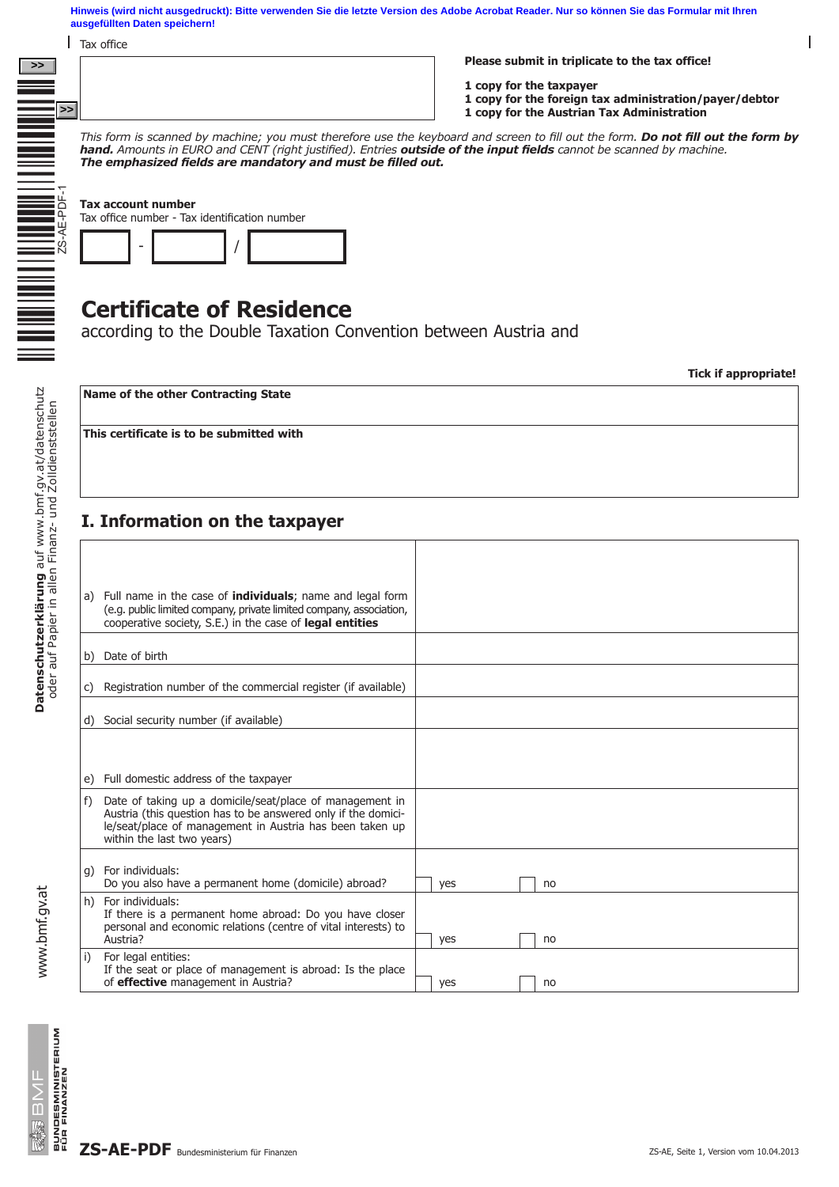**Hinweis (wird nicht ausgedruckt): Bitte verwenden Sie die letzte Version des Adobe Acrobat Reader. Nur so können Sie das Formular mit Ihren ausgefüllten Daten speichern!**

**Tax office** 

**>> pdfs Inter-Steuern ZS-AE 9999V\_12**

**Please submit in triplicate to the tax office!**

**1 copy for the taxpayer**

- **1 copy for the foreign tax administration/payer/debtor**
- **1 copy for the Austrian Tax Administration**

*This form is scanned by machine; you must therefore use the keyboard and screen to fill out the form. Do not fill out the form by hand. Amounts in EURO and CENT (right justified). Entries outside of the input fields cannot be scanned by machine. The emphasized fields are mandatory and must be filled out.*

| This form is scanned by machine; you mu<br>hand. Amounts in EURO and CENT (right<br>The emphasized fields are mandatory |
|-------------------------------------------------------------------------------------------------------------------------|
| <b>Tax account number</b><br>Tax office number - Tax identification number                                              |
| <b>Certificate of Reside</b><br>according to the Double Taxat                                                           |

# **Certificate of Residence**

according to the Double Taxation Convention between Austria and

**Tick if appropriate!**

 $\overline{\phantom{a}}$ 

**Name of the other Contracting State**

**This certificate is to be submitted with**

## **I. Information on the taxpayer**

|    | a) Full name in the case of <b>individuals</b> ; name and legal form                                                      |     |  |    |
|----|---------------------------------------------------------------------------------------------------------------------------|-----|--|----|
|    | (e.g. public limited company, private limited company, association,                                                       |     |  |    |
|    | cooperative society, S.E.) in the case of legal entities                                                                  |     |  |    |
|    |                                                                                                                           |     |  |    |
|    | b) Date of birth                                                                                                          |     |  |    |
|    |                                                                                                                           |     |  |    |
| C) | Registration number of the commercial register (if available)                                                             |     |  |    |
|    |                                                                                                                           |     |  |    |
|    | d) Social security number (if available)                                                                                  |     |  |    |
|    |                                                                                                                           |     |  |    |
|    |                                                                                                                           |     |  |    |
|    | e) Full domestic address of the taxpayer                                                                                  |     |  |    |
|    |                                                                                                                           |     |  |    |
| f) | Date of taking up a domicile/seat/place of management in<br>Austria (this question has to be answered only if the domici- |     |  |    |
|    | le/seat/place of management in Austria has been taken up                                                                  |     |  |    |
|    | within the last two years)                                                                                                |     |  |    |
|    |                                                                                                                           |     |  |    |
|    | g) For individuals:                                                                                                       |     |  |    |
|    | Do you also have a permanent home (domicile) abroad?                                                                      | yes |  | no |
|    | h) For individuals:                                                                                                       |     |  |    |
|    | If there is a permanent home abroad: Do you have closer<br>personal and economic relations (centre of vital interests) to |     |  |    |
|    | Austria?                                                                                                                  | yes |  | no |
| i) | For legal entities:                                                                                                       |     |  |    |
|    | If the seat or place of management is abroad: Is the place                                                                |     |  |    |
|    | of effective management in Austria?                                                                                       | yes |  | no |